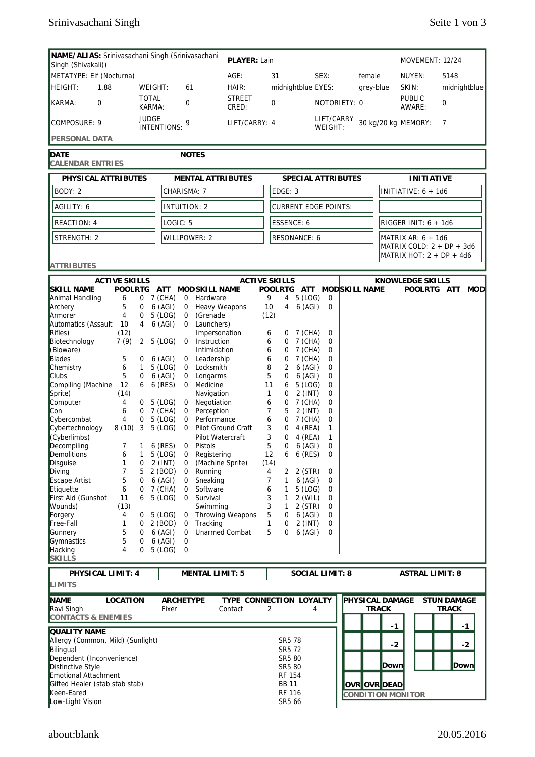| NAME/ALIAS: Srinivasachani Singh (Srinivasachani<br>PLAYER: Lain<br>MOVEMENT: 12/24<br>Singh (Shivakali)) |                                     |              |                    |                         |                                          |                         |               |                                           |                                          |                        |                           |        |                                                   |                        |                            |
|-----------------------------------------------------------------------------------------------------------|-------------------------------------|--------------|--------------------|-------------------------|------------------------------------------|-------------------------|---------------|-------------------------------------------|------------------------------------------|------------------------|---------------------------|--------|---------------------------------------------------|------------------------|----------------------------|
| METATYPE: Elf (Nocturna)                                                                                  |                                     |              |                    |                         |                                          | $AGE$ :                 |               | 31                                        |                                          | SEX:                   |                           | female |                                                   | NUYEN:                 | 5148                       |
| HEIGHT:<br>1,88                                                                                           |                                     |              | WEIGHT:            | 61                      |                                          | HAIR:                   |               |                                           | midnightblue EYES:                       |                        |                           |        | grey-blue                                         | SKIN:                  | midnightblue               |
|                                                                                                           |                                     | <b>TOTAL</b> |                    |                         | <b>STREET</b>                            |                         |               |                                           |                                          |                        |                           |        | <b>PUBLIC</b>                                     |                        |                            |
| KARMA:<br>$\Omega$                                                                                        |                                     |              | KARMA:             | 0                       |                                          | CRED:                   |               | 0                                         |                                          |                        | NOTORIETY: 0              |        |                                                   | AWARE:                 | 0                          |
| <b>JUDGE</b><br>COMPOSURE: 9                                                                              |                                     |              |                    | 9<br><b>INTENTIONS:</b> |                                          |                         | LIFT/CARRY: 4 |                                           |                                          | LIFT/CARRY<br>WEIGHT:  |                           |        | 30 kg/20 kg MEMORY:                               | 7                      |                            |
| <b>PERSONAL DATA</b>                                                                                      |                                     |              |                    |                         |                                          |                         |               |                                           |                                          |                        |                           |        |                                                   |                        |                            |
| <b>DATE</b><br><b>NOTES</b><br><b>CALENDAR ENTRIES</b>                                                    |                                     |              |                    |                         |                                          |                         |               |                                           |                                          |                        |                           |        |                                                   |                        |                            |
| PHYSICAL ATTRIBUTES<br><b>MENTAL ATTRIBUTES</b>                                                           |                                     |              |                    |                         |                                          |                         |               |                                           |                                          |                        | <b>SPECIAL ATTRIBUTES</b> |        |                                                   | <b>INITIATIVE</b>      |                            |
| BODY: 2                                                                                                   |                                     |              |                    | CHARISMA: 7             |                                          |                         |               | EDGE: 3                                   |                                          |                        |                           |        |                                                   | INITIATIVE: $6 + 1d6$  |                            |
| AGILITY: 6                                                                                                |                                     |              |                    | <b>INTUITION: 2</b>     |                                          |                         |               |                                           |                                          |                        |                           |        |                                                   |                        |                            |
|                                                                                                           |                                     |              |                    |                         |                                          |                         |               | <b>CURRENT EDGE POINTS:</b><br>ESSENCE: 6 |                                          |                        |                           |        |                                                   |                        |                            |
| <b>REACTION: 4</b>                                                                                        |                                     |              |                    | LOGIC: 5                |                                          |                         |               |                                           |                                          |                        |                           |        | RIGGER INIT: $6 + 1d6$                            |                        |                            |
| STRENGTH: 2                                                                                               |                                     |              |                    | <b>WILLPOWER: 2</b>     |                                          |                         |               | <b>RESONANCE: 6</b>                       |                                          |                        |                           |        | MATRIX AR: $6 + 1d6$<br>MATRIX COLD: 2 + DP + 3d6 |                        |                            |
|                                                                                                           |                                     |              |                    |                         |                                          |                         |               |                                           |                                          |                        |                           |        |                                                   |                        | MATRIX HOT: $2 + DP + 4d6$ |
| <b>ATTRIBUTES</b>                                                                                         |                                     |              |                    |                         |                                          |                         |               |                                           |                                          |                        |                           |        |                                                   |                        |                            |
| <b>SKILL NAME</b>                                                                                         | <b>ACTIVE SKILLS</b><br>POOLRTG ATT |              |                    |                         | MOD SKILL NAME                           | <b>ACTIVE SKILLS</b>    |               |                                           |                                          |                        | POOLRTG ATT MODSKILL NAME |        |                                                   | KNOWLEDGE SKILLS       |                            |
| Animal Handling                                                                                           | 6                                   |              | 0 7 (CHA)          | 0                       | Hardware                                 |                         | 9             |                                           | 4 5 (LOG)                                | 0                      |                           |        |                                                   |                        | POOLRTG ATT MOD            |
| Archery                                                                                                   | 5                                   | 0            | 6 (AGI)            | 0                       | Heavy Weapons                            |                         | 10            |                                           | 4 6 (AGI)                                | $\Omega$               |                           |        |                                                   |                        |                            |
| Armorer                                                                                                   | 4                                   | 0            | 5 (LOG)            | 0                       | CGrenade                                 |                         | (12)          |                                           |                                          |                        |                           |        |                                                   |                        |                            |
| Automatics (Assault 10                                                                                    |                                     | 4            | 6 (AGI)            | 0                       | Launchers)                               |                         |               |                                           |                                          |                        |                           |        |                                                   |                        |                            |
| Rifles)                                                                                                   | (12)                                |              |                    |                         | Impersonation                            |                         | 6             |                                           | 0 7 (CHA)                                | 0                      |                           |        |                                                   |                        |                            |
| Biotechnology                                                                                             | 7(9)                                | $\mathbf{2}$ | 5 (LOG)            | 0                       | Instruction                              |                         | 6             |                                           | 0 7 (CHA)                                | 0                      |                           |        |                                                   |                        |                            |
| (Bioware)                                                                                                 |                                     |              |                    |                         | Intimidation                             |                         | 6             | 0                                         | 7 (CHA)                                  | 0                      |                           |        |                                                   |                        |                            |
| <b>Blades</b>                                                                                             | 5                                   | 0            | $6$ (AGI)          | 0                       | Leadership                               |                         | 6             | 0                                         | 7 (CHA)                                  | 0                      |                           |        |                                                   |                        |                            |
| Chemistry                                                                                                 | 6                                   | $\mathbf{1}$ | 5 (LOG)            | 0                       | Locksmith                                |                         | 8             | 2                                         | $6$ (AGI)                                | 0                      |                           |        |                                                   |                        |                            |
| <b>Clubs</b>                                                                                              | 5                                   | 0            | 6 (AGI)            | 0                       | Longarms                                 |                         | 5             | 0                                         | 6 (AGI)                                  | 0                      |                           |        |                                                   |                        |                            |
| Compiling (Machine                                                                                        | 12                                  | 6            | 6 (RES)            | 0                       | Medicine                                 |                         | 11            | 6                                         | 5 (LOG)                                  | 0                      |                           |        |                                                   |                        |                            |
| Sprite)                                                                                                   | (14)                                |              |                    |                         | Navigation                               |                         | $\mathbf{1}$  | 0                                         | $2$ (INT)                                | 0                      |                           |        |                                                   |                        |                            |
| Computer                                                                                                  | 4                                   | 0            | 5 (LOG)            | 0                       | Negotiation                              |                         | 6             | 0                                         | 7 (CHA)                                  | 0                      |                           |        |                                                   |                        |                            |
| Con                                                                                                       | 6                                   | 0            | 7 (CHA)            | 0                       | Perception                               |                         | 7             | 5                                         | $2$ (INT)                                | 0                      |                           |        |                                                   |                        |                            |
| Cybercombat<br>Cybertechnology                                                                            | 4<br>8(10)                          | 0<br>3       | 5 (LOG)<br>5 (LOG) | 0<br>0                  | Performance<br><b>Pilot Ground Craft</b> |                         | 6<br>3        | 0<br>0                                    | 7 (CHA)<br>4 (REA)                       | 0<br>1                 |                           |        |                                                   |                        |                            |
| (Cyberlimbs)                                                                                              |                                     |              |                    |                         | Pilot Watercraft                         |                         | 3             | 0                                         | 4 (REA)                                  | 1                      |                           |        |                                                   |                        |                            |
| Decompiling                                                                                               | $\overline{7}$                      | $\mathbf{1}$ | 6 (RES)            | 0                       | Pistols                                  |                         | 5             | 0                                         | $6$ (AGI)                                | 0                      |                           |        |                                                   |                        |                            |
| Demolitions                                                                                               | 6                                   |              | 5 (LOG)            | 0                       | Registering                              |                         | 12            |                                           | 6 6 (RES)                                | 0                      |                           |        |                                                   |                        |                            |
| Disguise                                                                                                  | 1                                   | 0            | 2 (INT)            | 0                       | (Machine Sprite)                         |                         | (14)          |                                           |                                          |                        |                           |        |                                                   |                        |                            |
| Diving                                                                                                    | 7                                   | 5            | 2 (BOD)            | 0                       | Running                                  |                         | 4             |                                           | 2 2 (STR)                                | 0                      |                           |        |                                                   |                        |                            |
| Escape Artist                                                                                             | 5                                   | 0            | 6 (AGI)            | 0                       | Sneaking                                 |                         | 7             | 1                                         | $6$ (AGI)                                | 0                      |                           |        |                                                   |                        |                            |
| Etiquette                                                                                                 | 6                                   | 0            | 7 (CHA)            | 0                       | Software                                 |                         | 6             | 1                                         | 5 (LOG)                                  | 0                      |                           |        |                                                   |                        |                            |
| First Aid (Gunshot                                                                                        | 11                                  | 6            | 5 (LOG)            | 0                       | Survival                                 |                         | 3             | 1                                         | 2 (WIL)                                  | 0                      |                           |        |                                                   |                        |                            |
| Wounds)                                                                                                   | (13)                                |              |                    |                         | Swimming                                 |                         | 3             | $\mathbf{1}$                              | 2 (STR)                                  | 0                      |                           |        |                                                   |                        |                            |
| Forgery                                                                                                   | 4                                   | 0            | 5 (LOG)            | 0                       |                                          | <b>Throwing Weapons</b> | 5             | 0                                         | $6$ (AGI)                                | 0                      |                           |        |                                                   |                        |                            |
| Free-Fall                                                                                                 | 1                                   | 0            | 2 (BOD)            | 0                       | Tracking                                 |                         | 1             | 0                                         | 2 (INT)                                  | 0                      |                           |        |                                                   |                        |                            |
| Gunnery                                                                                                   | 5                                   | 0            | 6 (AGI)            | 0                       | Unarmed Combat                           |                         | 5             | 0                                         | 6 (AGI)                                  | 0                      |                           |        |                                                   |                        |                            |
| Gymnastics                                                                                                | 5                                   | 0            | 6 (AGI)            | 0                       |                                          |                         |               |                                           |                                          |                        |                           |        |                                                   |                        |                            |
| <b>Hacking</b>                                                                                            | 4                                   | 0            | $5$ (LOG)          | 0                       |                                          |                         |               |                                           |                                          |                        |                           |        |                                                   |                        |                            |
| <b>SKILLS</b>                                                                                             |                                     |              |                    |                         |                                          |                         |               |                                           |                                          |                        |                           |        |                                                   |                        |                            |
| PHYSICAL LIMIT: 4                                                                                         |                                     |              |                    |                         | <b>MENTAL LIMIT: 5</b>                   |                         |               |                                           |                                          | <b>SOCIAL LIMIT: 8</b> |                           |        |                                                   | <b>ASTRAL LIMIT: 8</b> |                            |
| <b>LIMITS</b>                                                                                             |                                     |              |                    |                         |                                          |                         |               |                                           |                                          |                        |                           |        |                                                   |                        |                            |
| <b>NAME</b>                                                                                               | LOCATION                            |              |                    | <b>ARCHETYPE</b>        |                                          | TYPE CONNECTION LOYALTY |               |                                           |                                          |                        |                           |        | <b>PHYSICAL DAMAGE</b>                            |                        | <b>STUN DAMAGE</b>         |
| Ravi Singh                                                                                                |                                     |              | Fixer              |                         |                                          | Contact                 | 2             |                                           |                                          | 4                      |                           |        | <b>TRACK</b>                                      |                        | <b>TRACK</b>               |
| <b>CONTACTS &amp; ENEMIES</b>                                                                             |                                     |              |                    |                         |                                          |                         |               |                                           |                                          |                        |                           |        |                                                   |                        |                            |
|                                                                                                           |                                     |              |                    |                         |                                          |                         |               |                                           |                                          |                        |                           |        | $-1$                                              |                        | $-1$                       |
| QUALITY NAME                                                                                              |                                     |              |                    |                         |                                          |                         |               |                                           |                                          |                        |                           |        |                                                   |                        |                            |
| Allergy (Common, Mild) (Sunlight)                                                                         |                                     |              |                    |                         |                                          |                         |               | SR5 78                                    |                                          |                        |                           |        | $-2$                                              |                        | $-2$                       |
| Bilingual                                                                                                 |                                     |              |                    |                         |                                          |                         |               | SR5 72                                    |                                          |                        |                           |        |                                                   |                        |                            |
| Dependent (Inconvenience)                                                                                 |                                     |              |                    |                         |                                          |                         |               | SR5 80                                    |                                          |                        |                           |        | Down                                              |                        | Down                       |
| Distinctive Style                                                                                         |                                     |              |                    |                         |                                          |                         | SR5 80        |                                           |                                          |                        |                           |        |                                                   |                        |                            |
| <b>Emotional Attachment</b><br>Gifted Healer (stab stab stab)                                             |                                     |              |                    |                         |                                          |                         |               | RF 154<br><b>BB 11</b>                    |                                          |                        |                           |        |                                                   |                        |                            |
| Keen-Eared                                                                                                |                                     |              |                    |                         |                                          | <b>RF 116</b>           |               |                                           | OVR OVR DEAD<br><b>CONDITION MONITOR</b> |                        |                           |        |                                                   |                        |                            |
| Low-Light Vision                                                                                          |                                     |              |                    |                         |                                          |                         |               | SR5 66                                    |                                          |                        |                           |        |                                                   |                        |                            |
|                                                                                                           |                                     |              |                    |                         |                                          |                         |               |                                           |                                          |                        |                           |        |                                                   |                        |                            |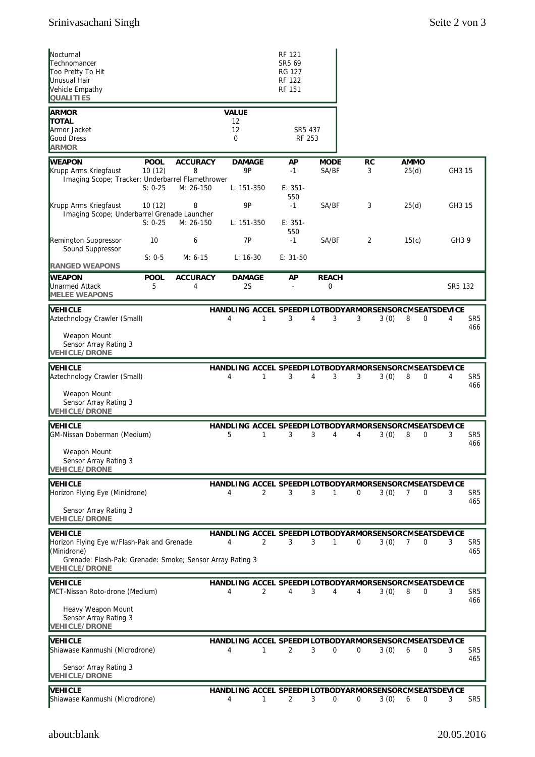| Nocturnal<br>Technomancer<br>Too Pretty To Hit<br>Unusual Hair<br>Vehicle Empathy<br><b>QUALITIES</b>                                                            |                                    |                                   |                                          | RF 121<br>SR5 69<br><b>RG 127</b><br><b>RF 122</b><br><b>RF 151</b> |                      |                |                                                                                      |                             |
|------------------------------------------------------------------------------------------------------------------------------------------------------------------|------------------------------------|-----------------------------------|------------------------------------------|---------------------------------------------------------------------|----------------------|----------------|--------------------------------------------------------------------------------------|-----------------------------|
| <b>ARMOR</b><br><b>TOTAL</b><br>Armor Jacket<br><b>Good Dress</b><br><b>ARMOR</b>                                                                                |                                    |                                   | <b>VALUE</b><br>12<br>12<br>0            | SR5 437<br>RF 253                                                   |                      |                |                                                                                      |                             |
| <b>WEAPON</b><br>Krupp Arms Kriegfaust<br>Imaging Scope; Tracker; Underbarrel Flamethrower                                                                       | <b>POOL</b><br>10(12)<br>$S: 0-25$ | <b>ACCURACY</b><br>8<br>M: 26-150 | <b>DAMAGE</b><br><b>9P</b><br>L: 151-350 | AP<br>$-1$<br>$E: 351-$                                             | <b>MODE</b><br>SA/BF | <b>RC</b><br>3 | <b>AMMO</b><br>25(d)                                                                 | GH3 15                      |
| Krupp Arms Kriegfaust<br>Imaging Scope; Underbarrel Grenade Launcher                                                                                             | 10(12)<br>$S: 0-25$                | 8<br>M: 26-150                    | 9P<br>$L: 151-350$                       | 550<br>$-1$<br>$E: 351-$<br>550                                     | SA/BF                | 3              | 25(d)                                                                                | GH3 15                      |
| Remington Suppressor<br>Sound Suppressor                                                                                                                         | 10<br>$S: 0-5$                     | 6<br>$M: 6-15$                    | <b>7P</b><br>$L: 16-30$                  | $-1$<br>$E: 31-50$                                                  | SA/BF                | 2              | 15(c)                                                                                | GH3 9                       |
| <b>RANGED WEAPONS</b><br><b>WEAPON</b><br>Unarmed Attack<br><b>MELEE WEAPONS</b>                                                                                 | <b>POOL</b><br>5                   | <b>ACCURACY</b><br>4              | <b>DAMAGE</b><br>2S                      | AP                                                                  | <b>REACH</b><br>0    |                |                                                                                      | SR5 132                     |
| <b>NEHICLE</b><br>Aztechnology Crawler (Small)                                                                                                                   |                                    |                                   | 4<br>1                                   | 3                                                                   | 4<br>3               | 3              | HANDLING ACCEL SPEEDPILOTBODYARMORSENSORCMSEATSDEVICE<br>3(0)<br>8<br>0              | 4<br>SR <sub>5</sub><br>466 |
| Weapon Mount<br>Sensor Array Rating 3<br><b>VEHICLE/DRONE</b>                                                                                                    |                                    |                                   |                                          |                                                                     |                      |                |                                                                                      |                             |
| VEHICLE<br>Aztechnology Crawler (Small)<br>Weapon Mount<br>Sensor Array Rating 3<br><b>VEHICLE/DRONE</b>                                                         |                                    |                                   | 4<br>1                                   | 3                                                                   | 4<br>3               | 3              | HANDLING ACCEL SPEEDPILOTBODYARMORSENSORCMSEATSDEVICE<br>3(0)<br>8<br>0              | 4<br>SR <sub>5</sub><br>466 |
| <b>NEHICLE</b><br>GM-Nissan Doberman (Medium)                                                                                                                    |                                    |                                   | 5<br>1                                   | 3                                                                   | 3<br>4               | 4              | HANDLING ACCEL SPEEDPILOTBODYARMORSENSORCMSEATSDEVICE<br>3(0)<br>8<br>0              | 3<br>SR <sub>5</sub><br>466 |
| Weapon Mount<br>Sensor Array Rating 3<br><b>VEHICLE/DRONE</b>                                                                                                    |                                    |                                   |                                          |                                                                     |                      |                |                                                                                      |                             |
| <b>VEHICLE</b><br>Horizon Flying Eye (Minidrone)<br>Sensor Array Rating 3<br><b>VEHICLE/DRONE</b>                                                                |                                    |                                   | 4<br>$\overline{2}$                      | 3                                                                   | 3<br>$\mathbf{1}$    | 0              | HANDLING ACCEL SPEEDPILOTBODYARMORSENSORCMSEATSDEVICE<br>3(0)<br>$\overline{7}$<br>0 | 3<br>SR <sub>5</sub><br>465 |
| <b>NEHICLE</b><br>Horizon Flying Eye w/Flash-Pak and Grenade<br>(Minidrone)<br>Grenade: Flash-Pak; Grenade: Smoke; Sensor Array Rating 3<br><b>VEHICLE/DRONE</b> |                                    |                                   | $\overline{2}$<br>4                      | 3                                                                   | 3<br>1               | 0              | HANDLING ACCEL SPEEDPILOTBODYARMORSENSORCMSEATSDEVICE<br>3(0)<br>7<br>0              | 3<br>SR <sub>5</sub><br>465 |
| VEHICLE<br>MCT-Nissan Roto-drone (Medium)                                                                                                                        |                                    |                                   | 4<br>2                                   | 4                                                                   | 3<br>4               | 4              | HANDLING ACCEL SPEEDPILOTBODYARMORSENSORCMSEATSDEVICE<br>3(0)<br>8<br>0              | 3<br>SR5<br>466             |
| Heavy Weapon Mount<br>Sensor Array Rating 3<br><b>VEHICLE/DRONE</b>                                                                                              |                                    |                                   |                                          |                                                                     |                      |                |                                                                                      |                             |
| <b>VEHICLE</b><br>Shiawase Kanmushi (Microdrone)                                                                                                                 |                                    |                                   | 4<br>1                                   | 2                                                                   | 3<br>0               | 0              | HANDLING ACCEL SPEEDPILOTBODYARMORSENSORCMSEATSDEVICE<br>3(0)<br>6<br>0              | 3<br>SR <sub>5</sub><br>465 |
| Sensor Array Rating 3<br><b>VEHICLE/DRONE</b>                                                                                                                    |                                    |                                   |                                          |                                                                     |                      |                |                                                                                      |                             |
| VEHICLE<br>Shiawase Kanmushi (Microdrone)                                                                                                                        |                                    |                                   | 4<br>1                                   | 2                                                                   | 3<br>0               | 0              | HANDLING ACCEL SPEEDPILOTBODYARMORSENSORCMSEATSDEVICE<br>3(0)<br>6<br>0              | SR <sub>5</sub><br>3        |